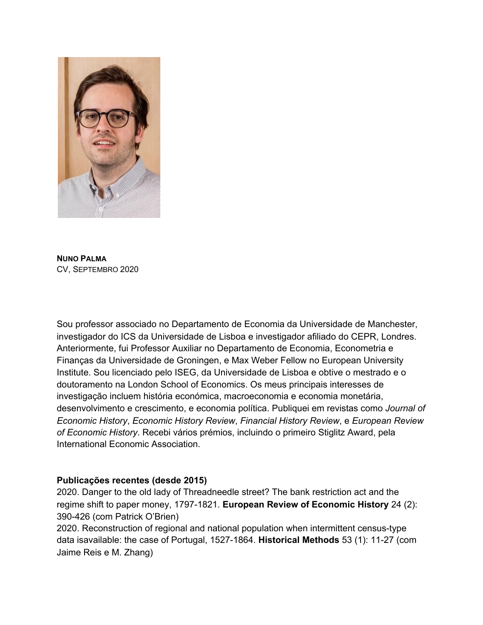

**NUNO PALMA** CV, SEPTEMBRO 2020

Sou professor associado no Departamento de Economia da Universidade de Manchester, investigador do ICS da Universidade de Lisboa e investigador afiliado do CEPR, Londres. Anteriormente, fui Professor Auxiliar no Departamento de Economia, Econometria e Finanças da Universidade de Groningen, e Max Weber Fellow no European University Institute. Sou licenciado pelo ISEG, da Universidade de Lisboa e obtive o mestrado e o doutoramento na London School of Economics. Os meus principais interesses de investigação incluem história económica, macroeconomia e economia monetária, desenvolvimento e crescimento, e economia política. Publiquei em revistas como *Journal of Economic History*, *Economic History Review*, *Financial History Review*, e *European Review of Economic History*. Recebi vários prémios, incluindo o primeiro Stiglitz Award, pela International Economic Association.

## **Publicações recentes (desde 2015)**

2020. Danger to the old lady of Threadneedle street? The bank restriction act and the regime shift to paper money, 1797-1821. **European Review of Economic History** 24 (2): 390-426 (com Patrick O'Brien)

2020. Reconstruction of regional and national population when intermittent census-type data isavailable: the case of Portugal, 1527-1864. **Historical Methods** 53 (1): 11-27 (com Jaime Reis e M. Zhang)